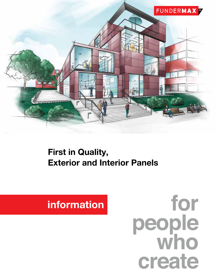

# First in Quality, Exterior and Interior Panels

# information

for people<br>who create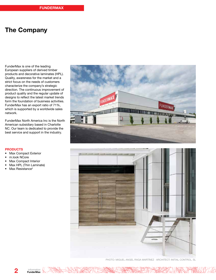# The Company

FunderMax is one of the leading European suppliers of derived timber products and decorative laminates (HPL). Quality, awareness for the market and a strict focus on the needs of customers characterize the company's strategic direction. The continuous improvement of product quality and the regular update of designs to reflect the latest market trends form the foundation of business activities. FunderMax has an export ratio of 71%, which is supported by a worldwide sales network.

FunderMax North America Inc is the North American subsidiary based in Charlotte NC. Our team is dedicated to provide the best service and support in the industry.





PHOTO: MIGUEL ANGEL RAGA MARTÍNEZ · ARCHITECT: INITIAL CONTROL, SL

#### **PRODUCTS**

- Max Compact Exterior
- m.look NCore
- Max Compact Interior
- Max HPL (Thin Laminate)
- Max Resistance<sup>2</sup>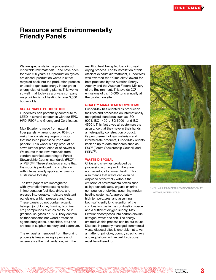## Resource and Environmentally Friendly Panels

We are specialists in the processing of renewable raw materials – and have been for over 100 years. Our production cycles are closed, production waste is either recycled back into the production process or used to generate energy in our green energy district heating plants. This works so well, that today as a private company we provide district heating to over 3,000 households.

#### SUSTAINABLE PRODUCTION

FunderMax can potentially contribute to LEED in several categories with our EPD, HPD, FSC® and Greenguard Certificates.

Max Exterior is made from natural fiber panels  $-$  around aprox. 65%, by weight — consisting largely of wood that has been processed into "kraft papers". This wood is a by-product of sawn lumber production or of sawmills. We source these raw materials from vendors certified according to Forest Stewardship Council standards (FSC®\*) or PEFC™. These standards ensure that the wood is produced in compliance with internationally applicable rules for sustainable forestry.

The kraft papers are impregnated with synthetic thermosetting resins in impregnation facilities, dried, and pressed into durable, moisture resistant panels under high pressure and heat. These panels do not contain organic halogen (or chlorine, fluorine, bromine, etc.) compounds such as are found in greenhouse gases or PVC. They contain neither asbestos nor wood protection agents (fungicides, pesticides, etc.) and are free of sulphur, mercury and cadmium.

The exhaust air removed from the drying process is treated using a process of regenerative thermal oxidation, with the

NICHAR HAT STAT STATE

resulting heat being fed back into said drying process. For its installation of this efficient exhaust air treatment, FunderMax was awarded the "Klima:aktiv" award for best practices by the Austrian Energy Agency and the Austrian Federal Ministry of the Environment. This avoids CO<sup>2</sup> emissions of ca. 10,000 tons annually at the production site.

#### QUALITY MANAGEMENT SYSTEMS

FunderMax has oriented its production facilities and processes on internationally recognized standards such as ISO 9001, ISO 14001, ISO 50001 und ISO 45001. This fact gives all customers the assurance that they have in their hands a high-quality construction product. In its procurement of raw materials and intermediate products, FunderMax orients itself on up to date standards such as FSC® (Forest Stewardship Council) and PEFC<sup>™</sup>.

#### WASTE DISPOSAL

Chips and shavings produced by processing (cutting and milling) are not hazardous to human health. This also means that waste can even be disposed of thermally without the emission of environmental toxins such as hydrochloric acid, organic chlorine compounds or dioxins, assuming modern heating systems. At appropriately high temperatures, and assuming both sufficiently long retention of the combustion gas in the combustion space and a sufficient oxygen supply, Max Exterior decomposes into carbon dioxide, nitrogen, water and ash. The energy emitted via this process can be put to use. Disposal in properly managed commercial waste disposal sites is unproblematic. As a matter of principle, country specific laws and regulations with regard to disposal must be adhered to.

**WARE HAVE** 



\* YOU WILL FIND DETAILED INFORMATION AT WWW.FUNDERMAX.US

information FunderMax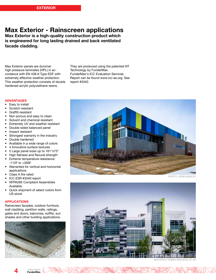### Max Exterior - Rainscreen applications

Max Exterior is a high-quality construction product which is engineered for long lasting drained and back ventilated facade cladding.

Max Exterior panels are duromer high-pressure laminates (HPL) in accordance with EN 438-6 Type EDF with extremely effective weather protection. This weather protection consists of double hardened acrylic polyurethane resins.

They are produced using the patented NT Technology by FunderMax. FunderMax's ICC Evaluation Services Report can be found www.icc-es.org. See report #3340

#### ADVANTAGES

- Easy to install
- Scratch resistant
- Graffiti resistant
- Non porous and easy to clean
- Solvent and chemical resistant
- Extremely UV and weather resistant
- Double sided balanced panel
- Impact resistant
- Strongest warranty in the industry
- Double hardened
- Available in a wide range of colors
- 4 Innovative surface textures
- 5 Large panel sizes up to 161"x73"
- High flatness and flexural strength
- Extreme temperature resistance: -112F to +356F
- Warranted for vertical and horizontal applications
- Class A fire rated
- ICC ESR #3340 report
- NFPA285 Compliant Assemblies Available
- Quick shipment of select colors from US stock

#### APPLICATIONS

Rainscreen facades, outdoor furniture, wall cladding, partition walls, railings, gates and doors, balconies, soffits, sun shades and other building applications.





PHOTO: JOHN GAWLEY



ARCHITECT: EMMA ARCHITECTS VIII

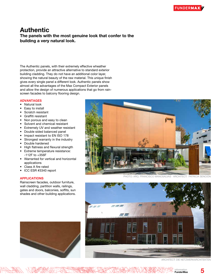### Authentic The panels with the most genuine look that confer to the building a very natural look.

The Authentic panels, with their extremely effective wheather protection, provide an attractive alternative to standard exterior building cladding. They do not have an additional color layer, showing the natural beauty of the raw material. This unique finish gives every single panel a different look. Authentic panels show almost all the advantages of the Max Compact Exterior panels and allow the design of numerous applications that go from rainscreen facades to balcony flooring design.

#### ADVANTAGES

- Natural look
- Easy to install
- Scratch resistant
- Graffiti resistant
- Non porous and easy to clean
- Solvent and chemical resistant
- Extremely UV and weather resistant
- Double sided balanced panel
- Impact resistant to EN ISO 178
- Strongest warranty in the industry
- Double hardened
- High flatness and flexural strength
- Extreme temperature resistance: -112F to +356F
- Warranted for vertical and horizontal applications
- Class A fire rated
- ICC ESR #3340 report

#### APPLICATIONS

Rainscreen facades, outdoor furniture, wall cladding, partition walls, railings, gates and doors, balconies, soffits, sun shades and other building applications.



ARCHITECT: DIE NETZWERKARCHITEKTEN



PHOTO: ARQ. FRANCISCO MANOSALVAS · ARCHITECT: PATRICIA SENCIÓN

5

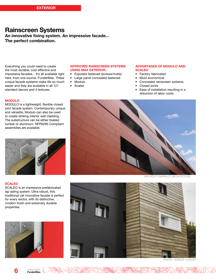# Rainscreen Systems

An innovative fixing system. An impressive facade... The perfect combination.

Everything you could need to create the most durable, cost effective and impressive facades... It's all available right here, from one source, FunderMax. These unique facade systems make life so much easier and they are available in all 121 standard decors and 4 textures.

#### MODULO

MODULO is a lightweight, flexible closed joint facade system. Contemporary unique and versatile, Modulo can also be used to create striking interior wall cladding. The substructure can be either treated lumber or aluminum. NFPA285 Compliant assemblies are available.



#### **SCALEO**

SCALEO is an impressive prefabricated lap siding system. Ultra robust, this traditional yet innovative facade is perfect for every sector, with its distinctive, modern finish and extremely durable properties.



#### APPROVED RAINSCREEN SYSTEMS USING MAX EXTERIOR:

- Exposed fastened (screws/rivets)
- Large panel concealed fastened
- Modulo
- Scaleo

#### ADVANTAGES OF MODULO AND **SCALEO**

- Factory fabricated
- Most economical
- Concealed rainscreen systems
- Closed joints
- Ease of installation resulting in a reduction of labor costs



ARCHITECT: BARRILOT ARCHITECTURE



PHOTO: AGENCE ULYSSES

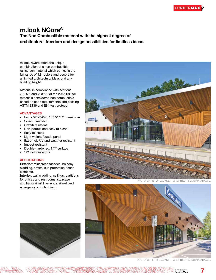## m.look NCore®

The Non Combustible material with the highest degree of architectural freedom and design possibilities for limitless ideas.

m.look NCore offers the unique combination of a non combustible rainscreen material which comes in the full range of 121 colors and decors for unlimited architectural ideas and any building height.

Material in compliance with sections 703.5.1 and 703.5.2 of the 2015 IBC for materials considered non combustible based on code requirements and passing ASTM E136 and E84 test protocol

#### ADVANTAGES

- Large 52 23/64"x137 51/64" panel size
- Scratch resistant
- Graffiti resistant
- Non-porous and easy to clean
- Easy to install
- Light weight facade panel
- Extremely UV and weather resistant
- Impact resistant
- Double-hardened, NT<sup>®</sup> surface
- 121 colors/decors

#### APPLICATIONS

Exterior: rainscreen facades, balcony cladding, soffits, sun protection, fence elements.

Interior: wall cladding, ceilings, partitions for offices and restrooms, staircase and handrail infill panels, stairwell and emergency exit cladding.



PHOTO: CHRISTOF LACKNER · ARCHITECT: SUDOP PRAHA A.S.





information **FunderMax** 

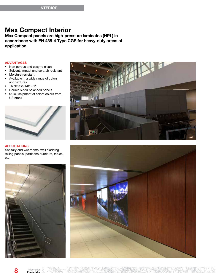### Max Compact Interior

Max Compact panels are high-pressure laminates (HPL) in accordance with EN 438-4 Type CGS for heavy-duty areas of application.

#### ADVANTAGES

- Non porous and easy to clean
- Solvent, impact and scratch resistant
- Moisture resistant
- Available in a wide range of colors and textures
- Thickness 1/8" 1"
- Double sided balanced panels
- Quick shipment of select colors from US stock



#### APPLICATIONS

Sanitary and wet rooms, wall cladding, railing panels, partitions, furniture, tables, etc.







8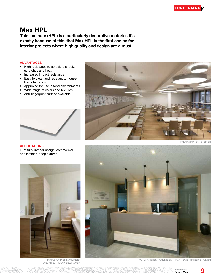## Max HPL

Thin laminate (HPL) is a particularly decorative material. It's exactly because of this, that Max HPL is the first choice for interior projects where high quality and design are a must.

#### ADVANTAGES

- High resistance to abrasion, shocks, scratches and heat
- Increased impact resistance
- Easy to clean and resistant to household chemicals
- Approved for use in food environments
- Wide range of colors and textures
- Anti-fingerprint surface available



APPLICATIONS

Furniture, interior design, commercial applications, shop fixtures.



PHOTO: RUPERT STEINER



ARCHITECT: KRAINER ZT GMBH

PHOTO: HANNES KOHLMEIER **PHOTO: HANNES KOHLMEIER · ARCHITECT: KRAINER ZT GMBH** 

information **FunderMax**  9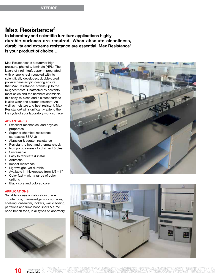### Max Resistance<sup>2</sup>

In laboratory and scientific furniture applications highly durable surfaces are required. When absolute cleanliness, durability and extreme resistance are essential, Max Resistance<sup>2</sup> is your product of choice…

Max Resistance² is a duromer highpressure, phenolic, laminate (HPL). The layers of virgin kraft paper impregnated with phenolic resin coupled with its scientifically developed, double-cured polyurethane acrylic coating ensure that Max Resistance² stands up to the toughest tests. Unaffected by solvents, most acids and the harshest chemicals, this easy-to-clean and disinfect surface is also wear and scratch resistant. As well as moisture and heat resistant, Max Resistance<sup>2</sup> will significantly extend the life cycle of your laboratory work surface.

#### ADVANTAGES

- Excellent mechanical and physical properties
- Superior chemical resistance (surpasses SEFA 3)
- Abrasion & scratch resistance
- Resistant to heat and thermal shock
- Non porous easy to disinfect & clean
- **Sustainable**
- Easy to fabricate & install
- **Antistatic**
- Impact resistance
- Lightweight, yet durable
- Available in thicknesses from  $1/6 1$ "
- Color fast with a range of color options
- Black core and colored core

#### APPLICATIONS

Suitable for use on laboratory grade countertops, marine edge work surfaces, shelving, casework, lockers, wall cladding, partitions and fume hood liners & fume hood bench tops, in all types of laboratory.





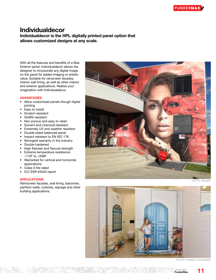### Individualdecor Individualdecor is the HPL digitally printed panel option that

allows customized designs at any scale.

With all the features and benefits of a Max Exterior panel, Individualdecor allows the designer to incorporate any digital image on the panel for added imaging or artistic value. Suitable for rainscreen facades, interior wall lining, as well as other interior and exterior applications. Realize your imagination with Individualdecor.

#### ADVANTAGES

- Allow customized panels though digital printing
- Easy to install
- Scratch resistant
- Graffiti resistant
- Non porous and easy to clean
- Solvent and chemical resistant
- Extremely UV and weather resistant
- Double sided balanced panel
- Impact resistant to EN ISO 178
- Strongest warranty in the industry
- Double hardened
- High flatness and flexural strength
- Extreme temperature resistance: -112F to +356F
- Warranted for vertical and horizontal applications
- Class A fire rated
- ICC ESR #3340 report

#### APPLICATIONS

Rainscreen facades, wall lining, balconies, partition walls, cubicles, signage and other building applications.



PHOTO: BAUMIT



PHOTO: HANNES KOHLMEIER